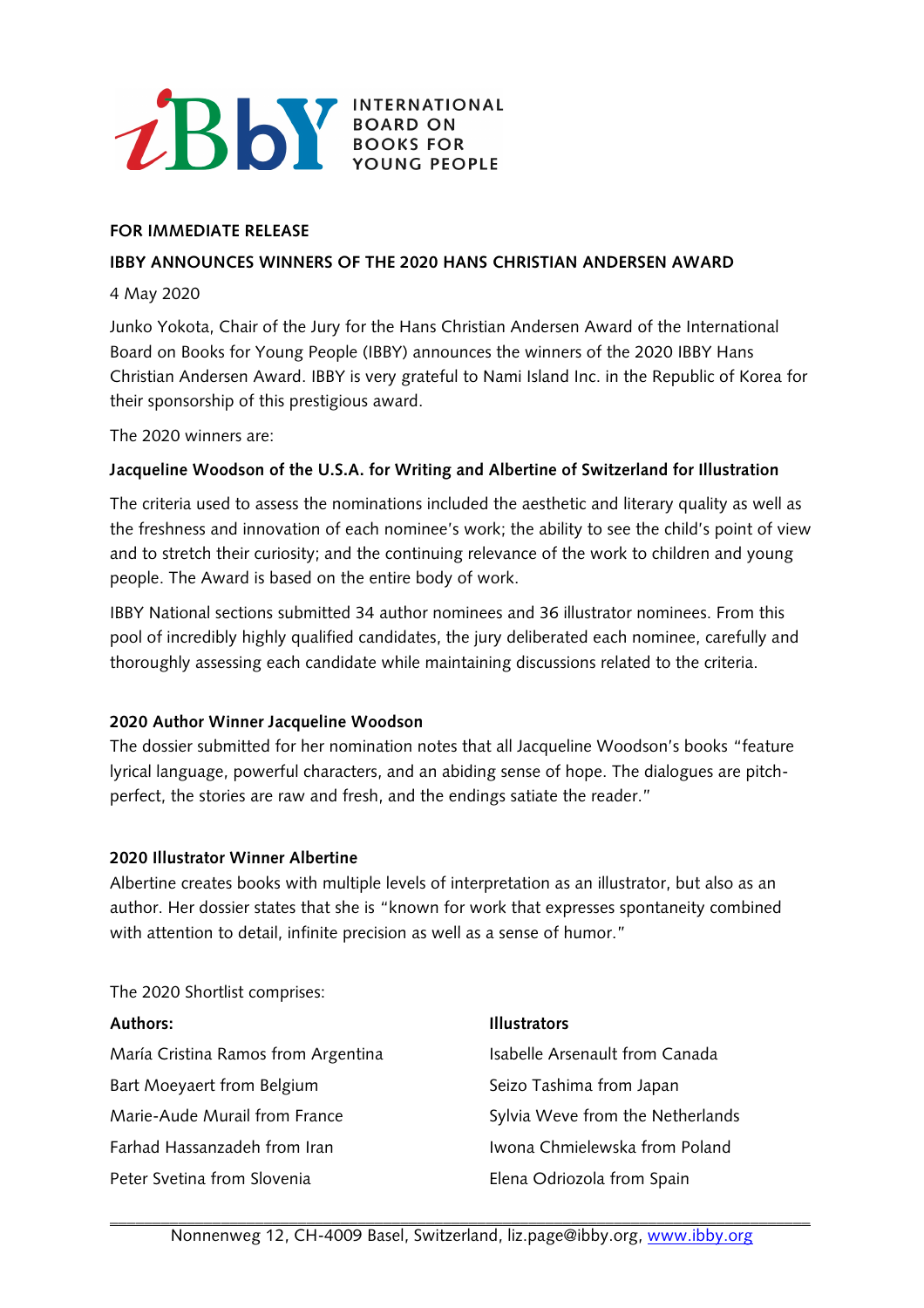

### **FOR IMMEDIATE RELEASE**

#### **IBBY ANNOUNCES WINNERS OF THE 2020 HANS CHRISTIAN ANDERSEN AWARD**

#### 4 May 2020

Junko Yokota, Chair of the Jury for the Hans Christian Andersen Award of the International Board on Books for Young People (IBBY) announces the winners of the 2020 IBBY Hans Christian Andersen Award. IBBY is very grateful to Nami Island Inc. in the Republic of Korea for their sponsorship of this prestigious award.

The 2020 winners are:

# **Jacqueline Woodson of the U.S.A. for Writing and Albertine of Switzerland for Illustration**

The criteria used to assess the nominations included the aesthetic and literary quality as well as the freshness and innovation of each nominee's work; the ability to see the child's point of view and to stretch their curiosity; and the continuing relevance of the work to children and young people. The Award is based on the entire body of work.

IBBY National sections submitted 34 author nominees and 36 illustrator nominees. From this pool of incredibly highly qualified candidates, the jury deliberated each nominee, carefully and thoroughly assessing each candidate while maintaining discussions related to the criteria.

# **2020 Author Winner Jacqueline Woodson**

The dossier submitted for her nomination notes that all Jacqueline Woodson's books "feature lyrical language, powerful characters, and an abiding sense of hope. The dialogues are pitchperfect, the stories are raw and fresh, and the endings satiate the reader."

#### **2020 Illustrator Winner Albertine**

Albertine creates books with multiple levels of interpretation as an illustrator, but also as an author. Her dossier states that she is "known for work that expresses spontaneity combined with attention to detail, infinite precision as well as a sense of humor."

The 2020 Shortlist comprises:

| <b>Authors:</b>                     | <b>Illustrators</b>              |
|-------------------------------------|----------------------------------|
| María Cristina Ramos from Argentina | Isabelle Arsenault from Canada   |
| Bart Moeyaert from Belgium          | Seizo Tashima from Japan         |
| Marie-Aude Murail from France       | Sylvia Weve from the Netherlands |
| Farhad Hassanzadeh from Iran        | Iwona Chmielewska from Poland    |
| Peter Svetina from Slovenia         | Elena Odriozola from Spain       |